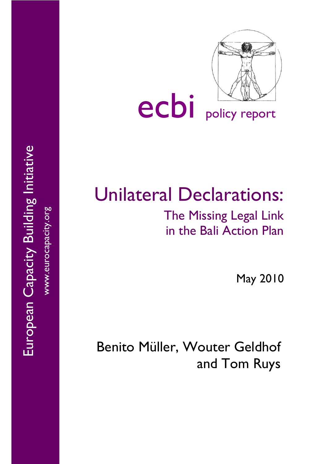

# ecbi policy report

## Unilateral Declarations:

## The Missing Legal Link in the Bali Action Plan

May 2010

Benito Müller, Wouter Geldhof and Tom Ruys

European Capacity Building Initiative European Capacity Building Initiative www.eurocapacity.org www.eurocapacity.org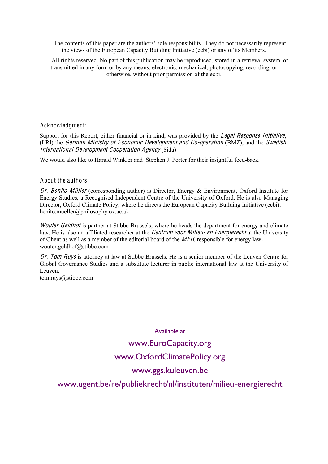The contents of this paper are the authors' sole responsibility. They do not necessarily represent the views of the European Capacity Building Initiative (ecbi) or any of its Members.

All rights reserved. No part of this publication may be reproduced, stored in a retrieval system, or transmitted in any form or by any means, electronic, mechanical, photocopying, recording, or otherwise, without prior permission of the ecbi.

#### Acknowledgment:

Support for this Report, either financial or in kind, was provided by the Legal Response Initiative, (LRI) the German Ministry of Economi<sup>c</sup> Dev<sup>e</sup>lopm<sup>e</sup>n<sup>t</sup> and Co-op<sup>e</sup>ration (BMZ), and the Swedish International Dev<sup>e</sup>lopm<sup>e</sup>n<sup>t</sup> Coop<sup>e</sup>ration Ag<sup>e</sup>ncy (Sida)

We would also like to Harald Winkler and Stephen J. Porter for their insightful feed-back.

#### About the authors:

Dr. Benito Müller (corresponding author) is Director, Energy & Environment, Oxford Institute for Energy Studies, a Recognised Independent Centre of the University of Oxford. He is also Managing Director, Oxford Climate Policy, where he directs the European Capacity Building Initiative (ecbi). benito.mueller@philosophy.ox.ac.uk

Wouter Geldhof is partner at Stibbe Brussels, where he heads the department for energy and climate law. He is also an affiliated researcher at the *Centrum voor Milieu- en Energierecht* at the University of Ghent as well as a member of the editorial board of the MER, responsible for energy law. wouter.geldhof@stibbe.com

Dr. Tom Ruys is attorney at law at Stibbe Brussels. He is a senior member of the Leuven Centre for Global Governance Studies and a substitute lecturer in public international law at the University of Leuven.

tom.ruys@stibbe.com

Available at

## www.EuroCapacity.org www.OxfordClimatePolicy.org

#### www.ggs.kuleuven.be

#### www.ugent.be/re/publiekrecht/nl/instituten/milieu-energierecht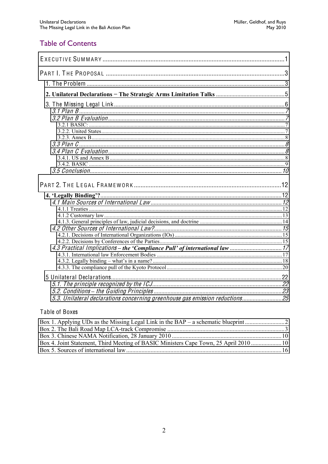#### **Table of Contents**

| 5.3. Unilateral declarations concerning greenhouse gas emission reductions 25 |  |
|-------------------------------------------------------------------------------|--|

#### Table of Boxes

| Box 4. Joint Statement, Third Meeting of BASIC Ministers Cape Town, 25 April 2010  10 |  |
|---------------------------------------------------------------------------------------|--|
|                                                                                       |  |
|                                                                                       |  |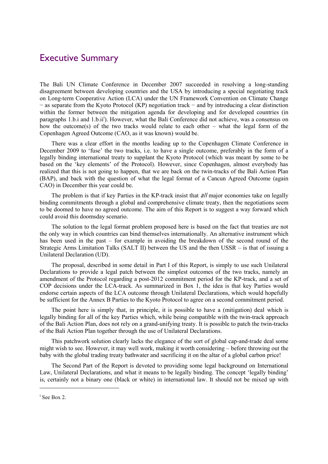#### <span id="page-3-0"></span>Executive Summary

The Bali UN Climate Conference in December 2007 succeeded in resolving a long-standing disagreement between developing countries and the USA by introducing a special negotiating track on Long-term Cooperative Action (LCA) under the UN Framework Convention on Climate Change  $-$  as separate from the Kyoto Protocol (KP) negotiation track  $-$  and by introducing a clear distinction within the former between the mitigation agenda for developing and for developed countries (in paragraphs 1.b.i and 1.b.ii<sup>i</sup>). However, what the Bali Conference did not achieve, was a consensus on how the outcome(s) of the two tracks would relate to each other  $-$  what the legal form of the Copenhagen Agreed Outcome (CAO, as it was known) would be.

There was a clear effort in the months leading up to the Copenhagen Climate Conference in December 2009 to 'fuse' the two tracks, i.e. to have a single outcome, preferably in the form of a legally binding international treaty to supplant the Kyoto Protocol (which was meant by some to be based on the 'key elements' of the Protocol). However, since Copenhagen, almost everybody has realized that this is not going to happen, that we are back on the twin-tracks of the Bali Action Plan (BAP), and back with the question of what the legal format of a Cancun Agreed Outcome (again CAO) in December this year could be.

The problem is that if key Parties in the KP-track insist that *all* major economies take on legally binding commitments through a global and comprehensive climate treaty, then the negotiations seem to be doomed to have no agreed outcome. The aim of this Report is to suggest a way forward which could avoid this doomsday scenario.

The solution to the legal format problem proposed here is based on the fact that treaties are not the only way in which countries can bind themselves internationally. An alternative instrument which has been used in the past  $-$  for example in avoiding the breakdown of the second round of the Strategic Arms Limitation Talks (SALT II) between the US and the then USSR  $-$  is that of issuing a Unilateral Declaration (UD).

The proposal, described in some detail in Part I of this Report, is simply to use such Unilateral Declarations to provide a legal patch between the simplest outcomes of the two tracks, namely an amendment of the Protocol regarding a post-2012 commitment period for the KP-track, and a set of COP decisions under the LCA-track. As summarized in Box 1, the idea is that key Parties would endorse certain aspects of the LCA outcome through Unilateral Declarations, which would hopefully be sufficient for the Annex B Parties to the Kyoto Protocol to agree on a second commitment period.

The point here is simply that, in principle, it is possible to have a (mitigation) deal which is legally binding for all of the key Parties which, while being compatible with the twin-track approach of the Bali Action Plan, does not rely on a grand-unifying treaty. It is possible to patch the twin-tracks of the Bali Action Plan together through the use of Unilateral Declarations.

This patchwork solution clearly lacks the elegance of the sort of global cap-and-trade deal some might wish to see. However, it may well work, making it worth considering – before throwing out the baby with the global trading treaty bathwater and sacrificing it on the altar of a global carbon price!

The Second Part of the Report is devoted to providing some legal background on International Law, Unilateral Declarations, and what it means to be legally binding. The concept 'legally binding' is, certainly not a binary one (black or white) in international law. It should not be mixed up with

 $\overline{a}$ 

i See Box 2.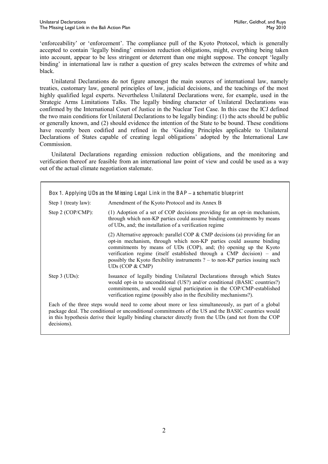'enforceability' or 'enforcement'. The compliance pull of the Kyoto Protocol, which is generally accepted to contain 'legally binding' emission reduction obligations, might, everything being taken into account, appear to be less stringent or deterrent than one might suppose. The concept 'legally binding' in international law is rather a question of grey scales between the extremes of white and black.

Unilateral Declarations do not figure amongst the main sources of international law, namely treaties, customary law, general principles of law, judicial decisions, and the teachings of the most highly qualified legal experts. Nevertheless Unilateral Declarations were, for example, used in the Strategic Arms Limitations Talks. The legally binding character of Unilateral Declarations was confirmed by the International Court of Justice in the Nuclear Test Case. In this case the ICJ defined the two main conditions for Unilateral Declarations to be legally binding: (1) the acts should be public or generally known, and (2) should evidence the intention of the State to be bound. These conditions have recently been codified and refined in the 'Guiding Principles applicable to Unilateral Declarations of States capable of creating legal obligations' adopted by the International Law Commission.

Unilateral Declarations regarding emission reduction obligations, and the monitoring and verification thereof are feasible from an international law point of view and could be used as a way out of the actual climate negotiation stalemate.

| Box 1. Applying UDs as the Missing Legal Link in the BAP - a schematic blueprint |                                                                                                                                                                                                                                                                                                                                                                                                           |  |
|----------------------------------------------------------------------------------|-----------------------------------------------------------------------------------------------------------------------------------------------------------------------------------------------------------------------------------------------------------------------------------------------------------------------------------------------------------------------------------------------------------|--|
| Step 1 (treaty law):                                                             | Amendment of the Kyoto Protocol and its Annex B                                                                                                                                                                                                                                                                                                                                                           |  |
| Step 2 $(COP/CMP)$ :                                                             | (1) Adoption of a set of COP decisions providing for an opt-in mechanism,<br>through which non-KP parties could assume binding commitments by means<br>of UDs, and; the installation of a verification regime                                                                                                                                                                                             |  |
|                                                                                  | (2) Alternative approach: parallel COP $&$ CMP decisions (a) providing for an<br>opt-in mechanism, through which non-KP parties could assume binding<br>commitments by means of UDs (COP), and; (b) opening up the Kyoto<br>verification regime (itself established through a CMP decision) – and<br>possibly the Kyoto flexibility instruments $? -$ to non-KP parties issuing such<br>UDs (COP $&$ CMP) |  |
| Step $3$ (UDs):                                                                  | Issuance of legally binding Unilateral Declarations through which States<br>would opt-in to unconditional (US?) and/or conditional (BASIC countries?)<br>commitments, and would signal participation in the COP/CMP-established<br>verification regime (possibly also in the flexibility mechanisms?).                                                                                                    |  |
| decisions).                                                                      | Each of the three steps would need to come about more or less simultaneously, as part of a global<br>package deal. The conditional or unconditional commitments of the US and the BASIC countries would<br>in this hypothesis derive their legally binding character directly from the UDs (and not from the COP                                                                                          |  |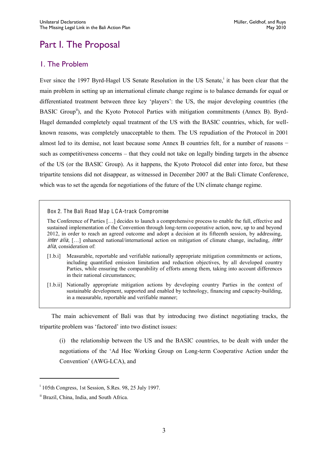## <span id="page-5-0"></span>Part I. The Proposal

#### <span id="page-5-1"></span>1. The Problem

Ever since the 1997 Byrd-Hagel US Senate Resolution in the US Senate,<sup>i</sup> it has been clear that the main problem in setting up an international climate change regime is to balance demands for equal or differentiated treatment between three key 'players': the US, the major developing countries (the BASIC Group<sup>ii</sup>), and the Kyoto Protocol Parties with mitigation commitments (Annex B). Byrd-Hagel demanded completely equal treatment of the US with the BASIC countries, which, for wellknown reasons, was completely unacceptable to them. The US repudiation of the Protocol in 2001 almost led to its demise, not least because some Annex B countries felt, for a number of reasons  $$ such as competitiveness concerns – that they could not take on legally binding targets in the absence of the US (or the BASIC Group). As it happens, the Kyoto Protocol did enter into force, but these tripartite tensions did not disappear, as witnessed in December 2007 at the Bali Climate Conference, which was to set the agenda for negotiations of the future of the UN climate change regime.

Box 2. The Bali Road Map L C A-track Compromise

The Conference of Parties [...] decides to launch a comprehensive process to enable the full, effective and sustained implementation of the Convention through long-term cooperative action, now, up to and beyond 2012, in order to reach an agreed outcome and adopt a decision at its fifteenth session, by addressing, inter alia, [...] enhanced national/international action on mitigation of climate change, including, inter alia, consideration of:

- [1.b.i] Measurable, reportable and verifiable nationally appropriate mitigation commitments or actions, including quantified emission limitation and reduction objectives, by all developed country Parties, while ensuring the comparability of efforts among them, taking into account differences in their national circumstances;
- [1.b.ii] Nationally appropriate mitigation actions by developing country Parties in the context of sustainable development, supported and enabled by technology, financing and capacity-building, in a measurable, reportable and verifiable manner;

The main achievement of Bali was that by introducing two distinct negotiating tracks, the tripartite problem was 'factored' into two distinct issues:

(i) the relationship between the US and the BASIC countries, to be dealt with under the negotiations of the 'Ad Hoc Working Group on Long-term Cooperative Action under the Convention' (AWG-LCA), and

 $\overline{a}$ 

<sup>&</sup>lt;sup>i</sup> 105th Congress, 1st Session, S.Res. 98, 25 July 1997.

ii Brazil, China, India, and South Africa.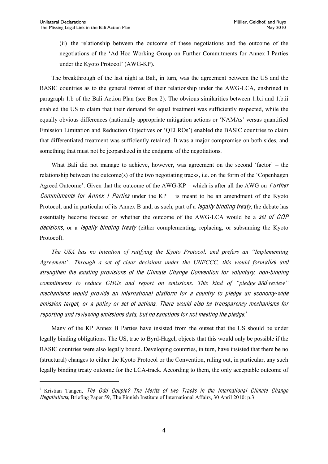(ii) the relationship between the outcome of these negotiations and the outcome of the negotiations of the 'Ad Hoc Working Group on Further Commitments for Annex I Parties under the Kyoto Protocol' (AWG-KP).

The breakthrough of the last night at Bali, in turn, was the agreement between the US and the BASIC countries as to the general format of their relationship under the AWG-LCA, enshrined in paragraph 1.b of the Bali Action Plan (see Box 2). The obvious similarities between 1.b.i and 1.b.ii enabled the US to claim that their demand for equal treatment was sufficiently respected, while the equally obvious differences (nationally appropriate mitigation actions or 'NAMAs' versus quantified Emission Limitation and Reduction Objectives or 'QELROs') enabled the BASIC countries to claim that differentiated treatment was sufficiently retained. It was a major compromise on both sides, and something that must not be jeopardized in the endgame of the negotiations.

What Bali did not manage to achieve, however, was agreement on the second 'factor'  $-$  the relationship between the outcome(s) of the two negotiating tracks, i.e. on the form of the 'Copenhagen Agreed Outcome'. Given that the outcome of the AWG-KP – which is after all the AWG on Further *Commitments for Annex I Parties* under the  $KP -$  is meant to be an amendment of the Kyoto Protocol, and in particular of its Annex B and, as such, part of a *legally binding treaty*, the debate has essentially become focused on whether the outcome of the AWG-LCA would be a <sup>s</sup>e<sup>t</sup> of COP decisions, or a legally binding treaty (either complementing, replacing, or subsuming the Kyoto Protocol).

*The USA has no intention of ratifying the Kyoto Protocol, and prefers an "Implementing* Agreement". Through a set of clear decisions under the UNFCCC, this would formalize and strengthe<sup>n</sup> th<sup>e</sup> <sup>e</sup>xisting provision<sup>s</sup> <sup>o</sup>f th<sup>e</sup> Climat<sup>e</sup> Chang<sup>e</sup> Convention for voluntary, non-binding *Commitments to reduce GHGs and report on emissions. This kind of "pledge-and-review"* <sup>m</sup>echanism<sup>s</sup> would provid<sup>e</sup> an international platfor<sup>m</sup> for <sup>a</sup> <sup>c</sup>ountry t<sup>o</sup> pledg<sup>e</sup> an economy-wid<sup>e</sup> <sup>e</sup>mission target, or <sup>a</sup> poli<sup>c</sup>y or <sup>s</sup>et <sup>o</sup>f <sup>a</sup>ctions. Ther<sup>e</sup> would als<sup>o</sup> b<sup>e</sup> transparency <sup>m</sup>echanism<sup>s</sup> for reporting and reviewing emissions data, but no sanctions for not meeting the pledge."

Many of the KP Annex B Parties have insisted from the outset that the US should be under legally binding obligations. The US, true to Byrd-Hagel, objects that this would only be possible if the BASIC countries were also legally bound. Developing countries, in turn, have insisted that there be no (structural) changes to either the Kyoto Protocol or the Convention, ruling out, in particular, any such legally binding treaty outcome for the LCA-track. According to them, the only acceptable outcome of

<sup>&</sup>lt;sup>i</sup> Kristian Tangen, The Odd Couple? The Merits of two Tracks in the International Climate Change Negotiations, Briefing Paper 59, The Finnish Institute of International Affairs, 30 April 2010: p.3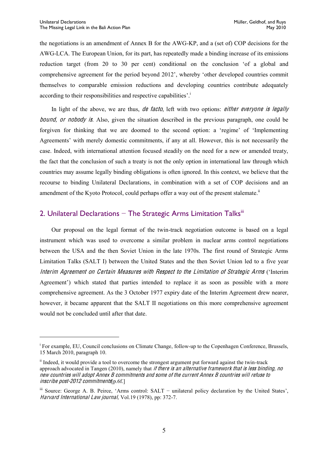the negotiations is an amendment of Annex B for the AWG-KP, and a (set of) COP decisions for the AWG-LCA. The European Union, for its part, has repeatedly made a binding increase of its emissions reduction target (from  $20$  to  $30$  per cent) conditional on the conclusion 'of a global and comprehensive agreement for the period beyond 2012', whereby 'other developed countries commit themselves to comparable emission reductions and developing countries contribute adequately according to their responsibilities and respective capabilities'.<sup>1</sup>

In light of the above, we are thus, de facto, left with two options: either everyone is legally bound, or nobody is. Also, given the situation described in the previous paragraph, one could be forgiven for thinking that we are doomed to the second option: a 'regime' of 'Implementing Agreements' with merely domestic commitments, if any at all. However, this is not necessarily the case. Indeed, with international attention focused steadily on the need for a new or amended treaty, the fact that the conclusion of such a treaty is not the only option in international law through which countries may assume legally binding obligations is often ignored. In this context, we believe that the recourse to binding Unilateral Declarations, in combination with a set of COP decisions and an amendment of the Kyoto Protocol, could perhaps offer a way out of the present stalemate.<sup>ii</sup>

#### <span id="page-7-0"></span>2. Unilateral Declarations  $-$  The Strategic Arms Limitation Talks<sup>iii</sup>

Our proposal on the legal format of the twin-track negotiation outcome is based on a legal instrument which was used to overcome a similar problem in nuclear arms control negotiations between the USA and the then Soviet Union in the late 1970s. The first round of Strategic Arms Limitation Talks (SALT I) between the United States and the then Soviet Union led to a five year Interim Agreement on Certain Measures with Respect to the Limitation of Strategic Arms ('Interim Agreement') which stated that parties intended to replace it as soon as possible with a more comprehensive agreement. As the 3 October 1977 expiry date of the Interim Agreement drew nearer, however, it became apparent that the SALT II negotiations on this more comprehensive agreement would not be concluded until after that date.

<sup>&</sup>lt;sup>i</sup> For example, EU, Council conclusions on Climate Change, follow-up to the Copenhagen Conference, Brussels, 15 March 2010, paragraph 10.

<sup>&</sup>lt;sup>ii</sup> Indeed, it would provide a tool to overcome the strongest argument put forward against the twin-track approach advocated in Tangen (2010), namely that if there is an alternative framework that is less binding, no <sup>n</sup>e<sup>w</sup> <sup>c</sup>ountrie<sup>s</sup> will adopt Anne<sup>x</sup> B <sup>c</sup>ommitments and <sup>s</sup>om<sup>e</sup> <sup>o</sup>f th<sup>e</sup> <sup>c</sup>urrent Anne<sup>x</sup> B <sup>c</sup>ountrie<sup>s</sup> will <sup>r</sup>efus<sup>e</sup> t<sup>o</sup> inscribe post-2012 commitments[p.6f.]

iii Source: George A. B. Peirce, 'Arms control: SALT - unilateral policy declaration by the United States', Harvard International Law journal, Vol.19 (1978), pp: 372-7.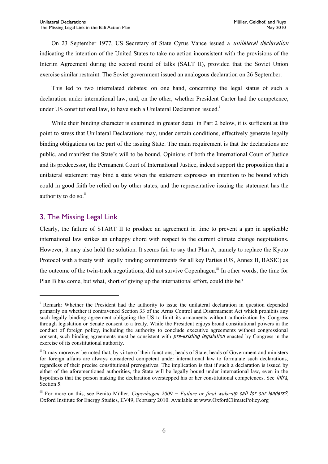On 23 September 1977, US Secretary of State Cyrus Vance issued a unilateral declaration indicating the intention of the United States to take no action inconsistent with the provisions of the Interim Agreement during the second round of talks (SALT II), provided that the Soviet Union exercise similar restraint. The Soviet government issued an analogous declaration on 26 September.

This led to two interrelated debates: on one hand, concerning the legal status of such a declaration under international law, and, on the other, whether President Carter had the competence, under US constitutional law, to have such a Unilateral Declaration issued.<sup>1</sup>

While their binding character is examined in greater detail in Part 2 below, it is sufficient at this point to stress that Unilateral Declarations may, under certain conditions, effectively generate legally binding obligations on the part of the issuing State. The main requirement is that the declarations are public, and manifest the State's will to be bound. Opinions of both the International Court of Justice and its predecessor, the Permanent Court of International Justice, indeed support the proposition that a unilateral statement may bind a state when the statement expresses an intention to be bound which could in good faith be relied on by other states, and the representative issuing the statement has the authority to do so.<sup>ii</sup>

#### <span id="page-8-0"></span>3. The Missing Legal Link

 $\overline{a}$ 

Clearly, the failure of START II to produce an agreement in time to prevent a gap in applicable international law strikes an unhappy chord with respect to the current climate change negotiations. However, it may also hold the solution. It seems fair to say that Plan A, namely to replace the Kyoto Protocol with a treaty with legally binding commitments for all key Parties (US, Annex B, BASIC) as the outcome of the twin-track negotiations, did not survive Copenhagen.<sup>iii</sup> In other words, the time for Plan B has come, but what, short of giving up the international effort, could this be?

<sup>&</sup>lt;sup>i</sup> Remark: Whether the President had the authority to issue the unilateral declaration in question depended primarily on whether it contravened Section 33 of the Arms Control and Disarmament Act which prohibits any such legally binding agreement obligating the US to limit its armaments without authorization by Congress through legislation or Senate consent to a treaty. While the President enjoys broad constitutional powers in the conduct of foreign policy, including the authority to conclude executive agreements without congressional consent, such binding agreements must be consistent with *pre-existing legislation* enacted by Congress in the exercise of its constitutional authority.

<sup>&</sup>lt;sup>ii</sup> It may moreover be noted that, by virtue of their functions, heads of State, heads of Government and ministers for foreign affairs are always considered competent under international law to formulate such declarations, regardless of their precise constitutional prerogatives. The implication is that if such a declaration is issued by either of the aforementioned authorities, the State will be legally bound under international law, even in the hypothesis that the person making the declaration overstepped his or her constitutional competences. See infra, Section 5.

iii For more on this, see Benito Müller, *Copenhagen 2009 – Failure or final wake-up call for our leaders?*, Oxford Institute for Energy Studies, EV49, February 2010. Available at www.OxfordClimatePolicy.org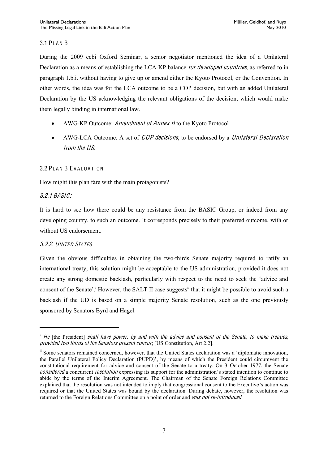#### <span id="page-9-0"></span>**3.1 PLAN B**

During the 2009 ecbi Oxford Seminar, a senior negotiator mentioned the idea of a Unilateral Declaration as a means of establishing the LCA-KP balance for developed countries, as referred to in paragraph 1.b.i. without having to give up or amend either the Kyoto Protocol, or the Convention. In other words, the idea was for the LCA outcome to be a COP decision, but with an added Unilateral Declaration by the US acknowledging the relevant obligations of the decision, which would make them legally binding in international law.

- AWG-KP Outcome: Amendmen<sup>t</sup> of Anne<sup>x</sup> B to the Kyoto Protocol
- AWG-LCA Outcome: A set of COP decisions, to be endorsed by a Unilateral Declaration from <sup>t</sup>h<sup>e</sup> US.

#### <span id="page-9-1"></span>3.2 PLAN B EVALUATION

How might this plan fare with the main protagonists?

#### <span id="page-9-2"></span>3.2.1 BASIC:

 $\overline{a}$ 

It is hard to see how there could be any resistance from the BASIC Group, or indeed from any developing country, to such an outcome. It corresponds precisely to their preferred outcome, with or without US endorsement.

#### <span id="page-9-3"></span>3.2.2. UNITED STATES

Given the obvious difficulties in obtaining the two-thirds Senate majority required to ratify an international treaty, this solution might be acceptable to the US administration, provided it does not create any strong domestic backlash, particularly with respect to the need to seek the 'advice and consent of the Senate'.<sup>i</sup> However, the SALT II case suggests<sup>ii</sup> that it might be possible to avoid such a backlash if the UD is based on a simple majority Senate resolution, such as the one previously sponsored by Senators Byrd and Hagel.

 $\mu$  He [the President] shall have power, by and with the advice and consent of the Senate, to make treaties, provided <sup>t</sup>wo <sup>t</sup>hird<sup>s</sup> <sup>o</sup>f <sup>t</sup>h<sup>e</sup> Senator<sup>s</sup> presen<sup>t</sup> <sup>c</sup>oncur; [US Constitution, Art 2.2].

<sup>&</sup>lt;sup>ii</sup> Some senators remained concerned, however, that the United States declaration was a 'diplomatic innovation, the Parallel Unilateral Policy Declaration (PUPD)', by means of which the President could circumvent the constitutional requirement for advice and consent of the Senate to a treaty. On 3 October 1977, the Senate considered a concurrent resolution expressing its support for the administration's stated intention to continue to abide by the terms of the Interim Agreement. The Chairman of the Senate Foreign Relations Committee explained that the resolution was not intended to imply that congressional consent to the Executive's action was required or that the United States was bound by the declaration. During debate, however, the resolution was returned to the Foreign Relations Committee on a point of order and *was not re-introduced*.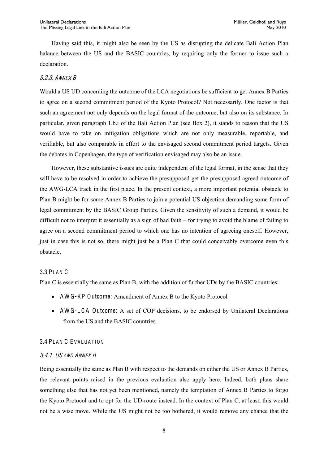Having said this, it might also be seen by the US as disrupting the delicate Bali Action Plan balance between the US and the BASIC countries, by requiring only the former to issue such a declaration.

#### <span id="page-10-0"></span>3.2.3. ANNEX B

Would a US UD concerning the outcome of the LCA negotiations be sufficient to get Annex B Parties to agree on a second commitment period of the Kyoto Protocol? Not necessarily. One factor is that such an agreement not only depends on the legal format of the outcome, but also on its substance. In particular, given paragraph 1.b.i of the Bali Action Plan (see Box 2), it stands to reason that the US would have to take on mitigation obligations which are not only measurable, reportable, and verifiable, but also comparable in effort to the envisaged second commitment period targets. Given the debates in Copenhagen, the type of verification envisaged may also be an issue.

However, these substantive issues are quite independent of the legal format, in the sense that they will have to be resolved in order to achieve the presupposed get the presupposed agreed outcome of the AWG-LCA track in the first place. In the present context, a more important potential obstacle to Plan B might be for some Annex B Parties to join a potential US objection demanding some form of legal commitment by the BASIC Group Parties. Given the sensitivity of such a demand, it would be difficult not to interpret it essentially as a sign of bad faith  $-$  for trying to avoid the blame of failing to agree on a second commitment period to which one has no intention of agreeing oneself. However, just in case this is not so, there might just be a Plan C that could conceivably overcome even this obstacle.

#### <span id="page-10-1"></span>**3.3 PLAN C**

Plan C is essentially the same as Plan B, with the addition of further UDs by the BASIC countries:

- AWG-KP Outcome: Amendment of Annex B to the Kyoto Protocol
- AWG-LCA Outcome: A set of COP decisions, to be endorsed by Unilateral Declarations from the US and the BASIC countries.

#### <span id="page-10-2"></span>3.4 PLAN C EVALUATION

#### <span id="page-10-3"></span>3.4.1. US AND ANNEX B

Being essentially the same as Plan B with respect to the demands on either the US or Annex B Parties, the relevant points raised in the previous evaluation also apply here. Indeed, both plans share something else that has not yet been mentioned, namely the temptation of Annex B Parties to forgo the Kyoto Protocol and to opt for the UD-route instead. In the context of Plan C, at least, this would not be a wise move. While the US might not be too bothered, it would remove any chance that the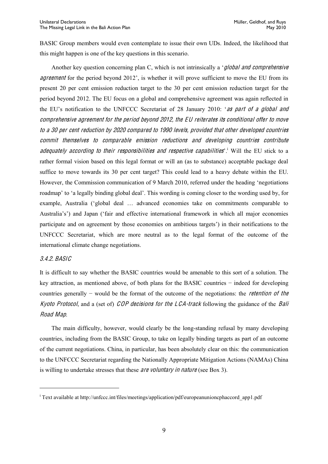BASIC Group members would even contemplate to issue their own UDs. Indeed, the likelihood that this might happen is one of the key questions in this scenario.

Another key question concerning plan C, which is not intrinsically a *'global and comprehensive agreement* for the period beyond  $2012$ , is whether it will prove sufficient to move the EU from its present 20 per cent emission reduction target to the 30 per cent emission reduction target for the period beyond 2012. The EU focus on a global and comprehensive agreement was again reflected in the EU's notification to the UNFCCC Secretariat of 28 January 2010: *as part of a global and* <sup>c</sup>omprehensiv<sup>e</sup> agreement for th<sup>e</sup> period beyond 2012, th<sup>e</sup> EU <sup>r</sup>eiterate<sup>s</sup> its <sup>c</sup>onditional <sup>o</sup>ffe<sup>r</sup> t<sup>o</sup> <sup>m</sup>ov<sup>e</sup> t<sup>o</sup> <sup>a</sup> 30 pe<sup>r</sup> cent <sup>r</sup>eduction by 2020 <sup>c</sup>ompared t<sup>o</sup> 1990 levels, provided that <sup>o</sup>the<sup>r</sup> dev<sup>e</sup>loped <sup>c</sup>ountrie<sup>s</sup> <sup>c</sup>ommit themselve<sup>s</sup> t<sup>o</sup> <sup>c</sup>omparabl<sup>e</sup> <sup>e</sup>mission <sup>r</sup>eduction<sup>s</sup> and dev<sup>e</sup>loping <sup>c</sup>ountrie<sup>s</sup> <sup>c</sup>ontribut<sup>e</sup> adequately according to their responsibilities and respective capabilities<sup>, i</sup> Will the EU stick to a rather formal vision based on this legal format or will an (as to substance) acceptable package deal suffice to move towards its 30 per cent target? This could lead to a heavy debate within the EU. However, the Commission communication of 9 March 2010, referred under the heading 'negotiations' roadmap' to 'a legally binding global deal'. This wording is coming closer to the wording used by, for example, Australia ('global deal ... advanced economies take on commitments comparable to Australia's') and Japan ('fair and effective international framework in which all major economies participate and on agreement by those economies on ambitious targets') in their notifications to the UNFCCC Secretariat, which are more neutral as to the legal format of the outcome of the international climate change negotiations.

#### <span id="page-11-0"></span>3.4.2. BASIC

 $\overline{a}$ 

It is difficult to say whether the BASIC countries would be amenable to this sort of a solution. The key attraction, as mentioned above, of both plans for the BASIC countries  $-$  indeed for developing countries generally – would be the format of the outcome of the negotiations: the *retention of the* Kyoto Protocol, and a (set of) COP decisions for the LCA-track following the guidance of the Bali Road Map.

The main difficulty, however, would clearly be the long-standing refusal by many developing countries, including from the BASIC Group, to take on legally binding targets as part of an outcome of the current negotiations. China, in particular, has been absolutely clear on this: the communication to the UNFCCC Secretariat regarding the Nationally Appropriate Mitigation Actions (NAMAs) China is willing to undertake stresses that these *are voluntary in nature* (see Box 3).

<sup>&</sup>lt;sup>i</sup> Text available at http://unfccc.int/files/meetings/application/pdf/europeanunioncphaccord\_app1.pdf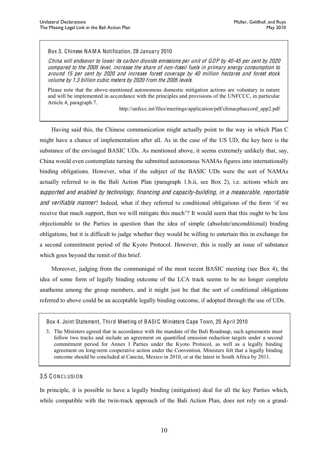#### Box 3. Chinese NA M A Notification, 28 January 2010

China will <sup>e</sup>ndeavor t<sup>o</sup> lowe<sup>r</sup> its <sup>c</sup>arbon dioxid<sup>e</sup> <sup>e</sup>mission<sup>s</sup> pe<sup>r</sup> unit of GDP by 40-45 pe<sup>r</sup> cent by 2020 <sup>c</sup>ompared t<sup>o</sup> th<sup>e</sup> 2005 level, increas<sup>e</sup> th<sup>e</sup> <sup>s</sup>har<sup>e</sup> of non-fossil fuel<sup>s</sup> in primary <sup>e</sup>nergy <sup>c</sup>onsumption t<sup>o</sup> around 15 pe<sup>r</sup> cent by 2020 and increas<sup>e</sup> forest <sup>c</sup>overag<sup>e</sup> by 40 million hectare<sup>s</sup> and forest stock volum<sup>e</sup> by 1.3 billion <sup>c</sup>ubi<sup>c</sup> <sup>m</sup>eter<sup>s</sup> by 2020 from th<sup>e</sup> 2005 levels.

Please note that the above-mentioned autonomous domestic mitigation actions are voluntary in nature and will be implemented in accordance with the principles and provisions of the UNFCCC, in particular Article 4, paragraph 7.

http://unfccc.int/files/meetings/application/pdf/chinacphaccord\_app2.pdf

Having said this, the Chinese communication might actually point to the way in which Plan C might have a chance of implementation after all. As in the case of the US UD, the key here is the substance of the envisaged BASIC UDs. As mentioned above, it seems extremely unlikely that, say, China would even contemplate turning the submitted autonomous NAMAs figures into internationally binding obligations. However, what if the subject of the BASIC UDs were the sort of NAMAs actually referred to in the Bali Action Plan (paragraph 1.b.ii, see Box 2), i.e. actions which are <sup>s</sup>upported and <sup>e</sup>nabled by technology, financing and <sup>c</sup>apacity-building, in <sup>a</sup> <sup>m</sup>easurable, <sup>r</sup>eportabl<sup>e</sup> and verifiable manner? Indeed, what if they referred to conditional obligations of the form 'if we receive that much support, then we will mitigate this much? It would seem that this ought to be less objectionable to the Parties in question than the idea of simple (absolute/unconditional) binding obligations, but it is difficult to judge whether they would be willing to entertain this in exchange for a second commitment period of the Kyoto Protocol. However, this is really an issue of substance which goes beyond the remit of this brief.

Moreover, judging from the communiqué of the most recent BASIC meeting (see Box 4), the idea of some form of legally binding outcome of the LCA track seems to be no longer complete anathema among the group members, and it might just be that the sort of conditional obligations referred to above could be an acceptable legally binding outcome, if adopted through the use of UDs.

#### <span id="page-12-0"></span>3.5 C ONC LUSION

In principle, it is possible to have a legally binding (mitigation) deal for all the key Parties which, while compatible with the twin-track approach of the Bali Action Plan, does not rely on a grand-

Box 4. Joint Statement, Third Meeting of B ASIC Ministers Cape Town, 25 April 2010

<sup>3.</sup> The Ministers agreed that in accordance with the mandate of the Bali Roadmap, such agreements must follow two tracks and include an agreement on quantified emission reduction targets under a second commitment period for Annex I Parties under the Kyoto Protocol, as well as a legally binding agreement on long-term cooperative action under the Convention. Ministers felt that a legally binding outcome should be concluded at Cancún, Mexico in 2010, or at the latest in South Africa by 2011.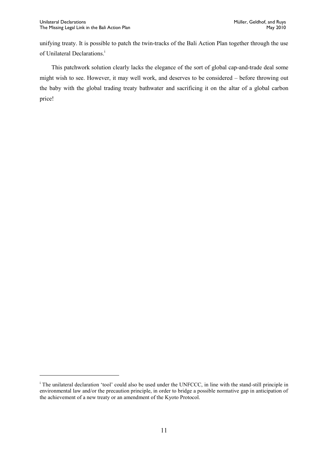l

unifying treaty. It is possible to patch the twin-tracks of the Bali Action Plan together through the use of Unilateral Declarations.<sup>i</sup>

This patchwork solution clearly lacks the elegance of the sort of global cap-and-trade deal some might wish to see. However, it may well work, and deserves to be considered – before throwing out the baby with the global trading treaty bathwater and sacrificing it on the altar of a global carbon price!

 $\overline{a}$  The unilateral declaration 'tool' could also be used under the UNFCCC, in line with the stand-still principle in environmental law and/or the precaution principle, in order to bridge a possible normative gap in anticipation of the achievement of a new treaty or an amendment of the Kyoto Protocol.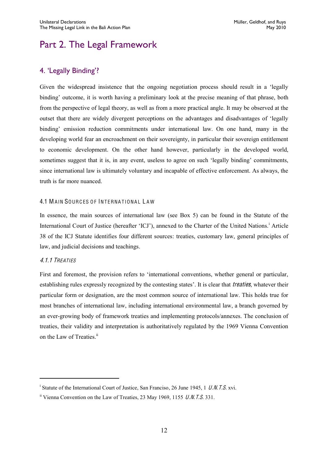## <span id="page-14-0"></span>Part 2. The Legal Framework

#### <span id="page-14-1"></span>4. 'Legally Binding'?

Given the widespread insistence that the ongoing negotiation process should result in a 'legally binding' outcome, it is worth having a preliminary look at the precise meaning of that phrase, both from the perspective of legal theory, as well as from a more practical angle. It may be observed at the outset that there are widely divergent perceptions on the advantages and disadvantages of 'legally binding' emission reduction commitments under international law. On one hand, many in the developing world fear an encroachment on their sovereignty, in particular their sovereign entitlement to economic development. On the other hand however, particularly in the developed world, sometimes suggest that it is, in any event, useless to agree on such 'legally binding' commitments, since international law is ultimately voluntary and incapable of effective enforcement. As always, the truth is far more nuanced.

#### <span id="page-14-2"></span>4.1 MAIN SOURCES OF INTERNATIONAL LAW

In essence, the main sources of international law (see Box 5) can be found in the Statute of the International Court of Justice (hereafter 'ICJ'), annexed to the Charter of the United Nations.<sup>1</sup> Article 38 of the ICJ Statute identifies four different sources: treaties, customary law, general principles of law, and judicial decisions and teachings.

#### <span id="page-14-3"></span>4.1.1 TREATIES

 $\overline{a}$ 

First and foremost, the provision refers to 'international conventions, whether general or particular, establishing rules expressly recognized by the contesting states'. It is clear that *treaties*, whatever their particular form or designation, are the most common source of international law. This holds true for most branches of international law, including international environmental law, a branch governed by an ever-growing body of framework treaties and implementing protocols/annexes. The conclusion of treaties, their validity and interpretation is authoritatively regulated by the 1969 Vienna Convention on the Law of Treaties.<sup>ii</sup>

<sup>&</sup>lt;sup>i</sup> Statute of the International Court of Justice, San Franciso, 26 June 1945, 1 U.N.T.S. xvi.

 $\frac{1}{10}$  Vienna Convention on the Law of Treaties, 23 May 1969, 1155 U.N.T.S. 331.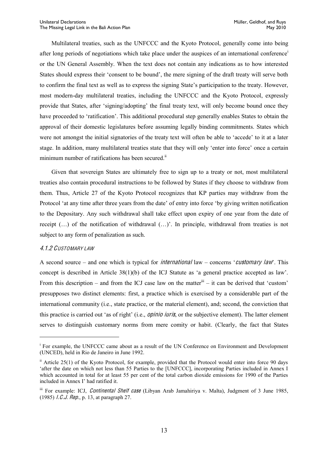Multilateral treaties, such as the UNFCCC and the Kyoto Protocol, generally come into being after long periods of negotiations which take place under the auspices of an international conference<sup>i</sup> or the UN General Assembly. When the text does not contain any indications as to how interested States should express their 'consent to be bound', the mere signing of the draft treaty will serve both to confirm the final text as well as to express the signing State's participation to the treaty. However, most modern-day multilateral treaties, including the UNFCCC and the Kyoto Protocol, expressly provide that States, after 'signing/adopting' the final treaty text, will only become bound once they have proceeded to 'ratification'. This additional procedural step generally enables States to obtain the approval of their domestic legislatures before assuming legally binding commitments. States which were not amongst the initial signatories of the treaty text will often be able to 'accede' to it at a later stage. In addition, many multilateral treaties state that they will only 'enter into force' once a certain minimum number of ratifications has been secured.<sup>ii</sup>

Given that sovereign States are ultimately free to sign up to a treaty or not, most multilateral treaties also contain procedural instructions to be followed by States if they choose to withdraw from them. Thus, Article 27 of the Kyoto Protocol recognizes that KP parties may withdraw from the Protocol 'at any time after three years from the date' of entry into force 'by giving written notification to the Depositary. Any such withdrawal shall take effect upon expiry of one year from the date of receipt  $(...)$  of the notification of withdrawal  $(...)$ . In principle, withdrawal from treaties is not subject to any form of penalization as such.

#### <span id="page-15-0"></span>4.1.2 CUSTOMARY LAW

 $\overline{a}$ 

A second source  $-$  and one which is typical for *international* law  $-$  concerns *'customary law*'. This concept is described in Article  $38(1)(b)$  of the ICJ Statute as 'a general practice accepted as law'. From this description  $-$  and from the ICJ case law on the matter<sup>iii</sup>  $-$  it can be derived that 'custom' presupposes two distinct elements: first, a practice which is exercised by a considerable part of the international community (i.e., state practice, or the material element), and; second, the conviction that this practice is carried out 'as of right' (i.e., *opinio iuris*, or the subjective element). The latter element serves to distinguish customary norms from mere comity or habit. (Clearly, the fact that States

<sup>i</sup> For example, the UNFCCC came about as a result of the UN Conference on Environment and Development (UNCED), held in Rio de Janeiro in June 1992.

ii Article 25(1) of the Kyoto Protocol, for example, provided that the Protocol would enter into force 90 days 'after the date on which not less than 55 Parties to the [UNFCCC], incorporating Parties included in Annex I which accounted in total for at least 55 per cent of the total carbon dioxide emissions for 1990 of the Parties included in Annex I' had ratified it.

iii For example: ICJ, *Continental Shelf case* (Libyan Arab Jamahiriya v. Malta), Judgment of 3 June 1985, (1985) I.C.J. Rep., p. 13, at paragraph 27.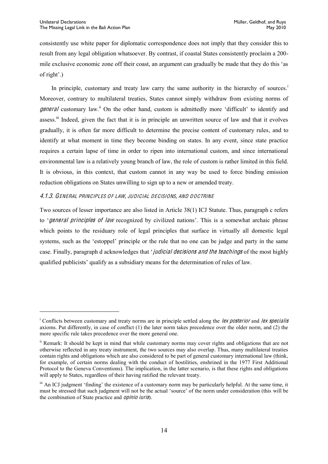consistently use white paper for diplomatic correspondence does not imply that they consider this to result from any legal obligation whatsoever. By contrast, if coastal States consistently proclaim a 200 mile exclusive economic zone off their coast, an argument can gradually be made that they do this 'as of  $right'.)$ 

In principle, customary and treaty law carry the same authority in the hierarchy of sources.<sup>i</sup> Moreover, contrary to multilateral treaties, States cannot simply withdraw from existing norms of general customary law.<sup>ii</sup> On the other hand, custom is admittedly more 'difficult' to identify and assess.<sup>iii</sup> Indeed, given the fact that it is in principle an unwritten source of law and that it evolves gradually, it is often far more difficult to determine the precise content of customary rules, and to identify at what moment in time they become binding on states. In any event, since state practice requires a certain lapse of time in order to ripen into international custom, and since international environmental law is a relatively young branch of law, the role of custom is rather limited in this field. It is obvious, in this context, that custom cannot in any way be used to force binding emission reduction obligations on States unwilling to sign up to a new or amended treaty.

#### <span id="page-16-0"></span>4.1.3. GENERAL PRINCIPLES OF LAW, JUDICIAL DECISIONS, AND DOCTRINE

Two sources of lesser importance are also listed in Article 38(1) ICJ Statute. Thus, paragraph c refers to *'general principles of law* recognized by civilized nations'. This is a somewhat archaic phrase which points to the residuary role of legal principles that surface in virtually all domestic legal systems, such as the 'estoppel' principle or the rule that no one can be judge and party in the same case. Finally, paragraph d acknowledges that 'judicial decisions and the teachings of the most highly qualified publicists' qualify as a subsidiary means for the determination of rules of law.

<sup>&</sup>lt;sup>i</sup> Conflicts between customary and treaty norms are in principle settled along the *lex posterior* and *lex specialis* axioms. Put differently, in case of conflict (1) the later norm takes precedence over the older norm, and (2) the more specific rule takes precedence over the more general one.

ii Remark: It should be kept in mind that while customary norms may cover rights and obligations that are not otherwise reflected in any treaty instrument, the two sources may also overlap. Thus, many multilateral treaties contain rights and obligations which are also considered to be part of general customary international law (think, for example, of certain norms dealing with the conduct of hostilities, enshrined in the 1977 First Additional Protocol to the Geneva Conventions). The implication, in the latter scenario, is that these rights and obligations will apply to States, regardless of their having ratified the relevant treaty.

iii An ICJ judgment 'finding' the existence of a customary norm may be particularly helpful. At the same time, it must be stressed that such judgment will not be the actual 'source' of the norm under consideration (this will be the combination of State practice and opinio iuris).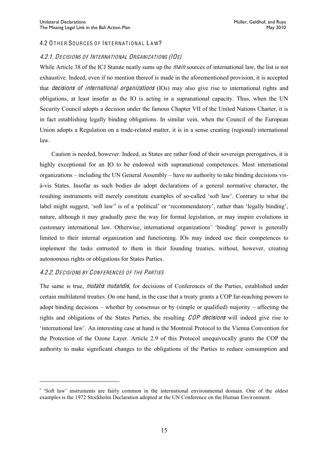#### <span id="page-17-0"></span>4.2 OTHER SOURCES OF INTERNATIONAL LAW?

#### <span id="page-17-1"></span>4.2.1. DECISION<sup>S</sup> OF INTERNATIONAL ORGANIZATION<sup>S</sup> (IOS)

While Article 38 of the ICJ Statute neatly sums up the *main* sources of international law, the list is not exhaustive. Indeed, even if no mention thereof is made in the aforementioned provision, it is accepted that *decisions of international organizations* (IOs) may also give rise to international rights and obligations, at least insofar as the IO is acting in a supranational capacity. Thus, when the UN Security Council adopts a decision under the famous Chapter VII of the United Nations Charter, it is in fact establishing legally binding obligations. In similar vein, when the Council of the European Union adopts a Regulation on a trade-related matter, it is in a sense creating (regional) international law.

Caution is needed, however. Indeed, as States are rather fond of their sovereign prerogatives, it is highly exceptional for an IO to be endowed with supranational competences. Most international organizations  $-$  including the UN General Assembly  $-$  have no authority to take binding decisions visà-vis States. Insofar as such bodies do adopt declarations of a general normative character, the resulting instruments will merely constitute examples of so-called 'soft law'. Contrary to what the label might suggest, 'soft law' is of a 'political' or 'recommendatory', rather than 'legally binding', nature, although it may gradually pave the way for formal legislation, or may inspire evolutions in customary international law. Otherwise, international organizations' 'binding' power is generally limited to their internal organization and functioning. IOs may indeed use their competences to implement the tasks entrusted to them in their founding treaties, without, however, creating autonomous rights or obligations for States Parties.

#### <span id="page-17-2"></span>**4.2.2. DECISIONS BY CONFERENCES OF THE PARTIES**

 $\overline{a}$ 

The same is true, *mutatis mutandis*, for decisions of Conferences of the Parties, established under certain multilateral treaties. On one hand, in the case that a treaty grants a COP far-reaching powers to adopt binding decisions  $-$  whether by consensus or by (simple or qualified) majority  $-$  affecting the rights and obligations of the States Parties, the resulting COP decision<sup>s</sup> will indeed give rise to 'international law'. An interesting case at hand is the Montreal Protocol to the Vienna Convention for the Protection of the Ozone Layer. Article 2.9 of this Protocol unequivocally grants the COP the authority to make significant changes to the obligations of the Parties to reduce consumption and

<sup>&</sup>lt;sup>i</sup> 'Soft law' instruments are fairly common in the international environmental domain. One of the oldest examples is the 1972 Stockholm Declaration adopted at the UN Conference on the Human Environment.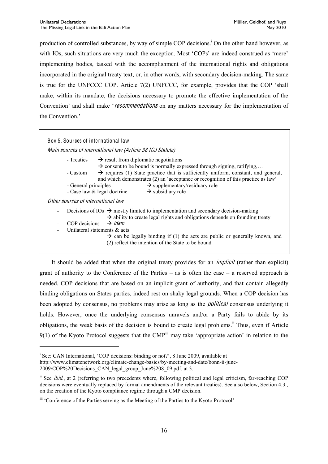production of controlled substances, by way of simple COP decisions.<sup>1</sup> On the other hand however, as with IOs, such situations are very much the exception. Most 'COPs' are indeed construed as 'mere' implementing bodies, tasked with the accomplishment of the international rights and obligations incorporated in the original treaty text, or, in other words, with secondary decision-making. The same is true for the UNFCCC COP. Article  $7(2)$  UNFCCC, for example, provides that the COP 'shall make, within its mandate, the decisions necessary to promote the effective implementation of the Convention' and shall make 'recommendations on any matters necessary for the implementation of the Convention.'

| Box 5. Sources of international law                                                                                                                                                             |
|-------------------------------------------------------------------------------------------------------------------------------------------------------------------------------------------------|
|                                                                                                                                                                                                 |
| Main sources of international law (Article 38 ICJ Statute)                                                                                                                                      |
| - Treaties $\rightarrow$ result from diplomatic negotiations<br>$\rightarrow$ consent to be bound is normally expressed through signing, ratifying,                                             |
| $\rightarrow$ requires (1) State practice that is sufficiently uniform, constant, and general,<br>- Custom<br>and which demonstrates (2) an 'acceptance or recognition of this practice as law' |
| $\rightarrow$ supplementary/residuary role<br>- General principles                                                                                                                              |
| - Case law & legal doctrine<br>$\rightarrow$ subsidiary role                                                                                                                                    |
| Other sources of international law                                                                                                                                                              |
| Decisions of IOs $\rightarrow$ mostly limited to implementation and secondary decision-making<br>$\overline{\phantom{a}}$                                                                       |
| $\rightarrow$ ability to create legal rights and obligations depends on founding treaty                                                                                                         |
| $\rightarrow$ idem<br>COP decisions<br>$\overline{\phantom{a}}$                                                                                                                                 |
| Unilateral statements $\&$ acts<br>$\overline{\phantom{a}}$                                                                                                                                     |
| $\rightarrow$ can be legally binding if (1) the acts are public or generally known, and                                                                                                         |
| (2) reflect the intention of the State to be bound                                                                                                                                              |
|                                                                                                                                                                                                 |

It should be added that when the original treaty provides for an *implicit* (rather than explicit) grant of authority to the Conference of the Parties  $-$  as is often the case  $-$  a reserved approach is needed. COP decisions that are based on an implicit grant of authority, and that contain allegedly binding obligations on States parties, indeed rest on shaky legal grounds. When a COP decision has been adopted by consensus, no problems may arise as long as the *political* consensus underlying it holds. However, once the underlying consensus unravels and/or a Party fails to abide by its obligations, the weak basis of the decision is bound to create legal problems.<sup>ii</sup> Thus, even if Article 9(1) of the Kyoto Protocol suggests that the CMP<sup>iii</sup> may take 'appropriate action' in relation to the

 $\overline{a}$ 

<sup>&</sup>lt;sup>i</sup> See: CAN International, 'COP decisions: binding or not?', 8 June 2009, available at

http://www.climatenetwork.org/climate-change-basics/by-meeting-and-date/bonn-ii-june-

<sup>2009/</sup>COP%20Decisions\_CAN\_legal\_group\_June%208\_09.pdf, at 3.

<sup>&</sup>lt;sup>ii</sup> See *ibid.*, at 2 (referring to two precedents where, following political and legal criticism, far-reaching COP decisions were eventually replaced by formal amendments of the relevant treaties). See also below, Section 4.3., on the creation of the Kyoto compliance regime through a CMP decision.

iii 'Conference of the Parties serving as the Meeting of the Parties to the Kyoto Protocol'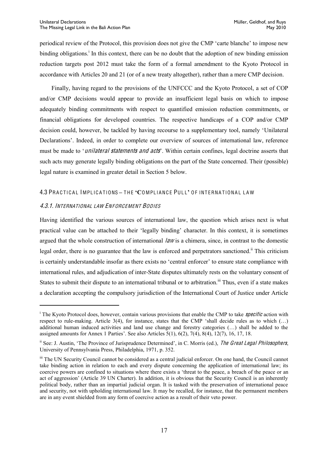periodical review of the Protocol, this provision does not give the CMP 'carte blanche' to impose new binding obligations.<sup>i</sup> In this context, there can be no doubt that the adoption of new binding emission reduction targets post 2012 must take the form of a formal amendment to the Kyoto Protocol in accordance with Articles 20 and 21 (or of a new treaty altogether), rather than a mere CMP decision.

Finally, having regard to the provisions of the UNFCCC and the Kyoto Protocol, a set of COP and/or CMP decisions would appear to provide an insufficient legal basis on which to impose adequately binding commitments with respect to quantified emission reduction commitments, or financial obligations for developed countries. The respective handicaps of a COP and/or CMP decision could, however, be tackled by having recourse to a supplementary tool, namely 'Unilateral Declarations'. Indeed, in order to complete our overview of sources of international law, reference must be made to '*unilateral statements and acts*'. Within certain confines, legal doctrine asserts that such acts may generate legally binding obligations on the part of the State concerned. Their (possible) legal nature is examined in greater detail in Section 5 below.

#### <span id="page-19-0"></span>4.3 PRA C T IC A L IMPL IC A T IONS **±** T H E **µ&**O MPL IANC E PUL L**¶** O F INT ERNA T IONA L L A W

#### <span id="page-19-1"></span>4.3.1. INTERNATIONAL LAW ENFORCEMENT BODIES

 $\overline{a}$ 

Having identified the various sources of international law, the question which arises next is what practical value can be attached to their 'legally binding' character. In this context, it is sometimes argued that the whole construction of international  $\lambda$  is a chimera, since, in contrast to the domestic legal order, there is no guarantee that the law is enforced and perpetrators sanctioned.<sup>ii</sup> This criticism is certainly understandable insofar as there exists no 'central enforcer' to ensure state compliance with international rules, and adjudication of inter-State disputes ultimately rests on the voluntary consent of States to submit their dispute to an international tribunal or to arbitration.<sup>iii</sup> Thus, even if a state makes a declaration accepting the compulsory jurisdiction of the International Court of Justice under Article

<sup>&</sup>lt;sup>i</sup> The Kyoto Protocol does, however, contain various provisions that enable the CMP to take *specific* action with respect to rule-making. Article 3(4), for instance, states that the CMP 'shall decide rules as to which (...) additional human induced activities and land use change and forestry categories (...) shall be added to the assigned amounts for Annex 1 Parties'. See also Articles  $5(1)$ ,  $6(2)$ ,  $7(4)$ ,  $8(4)$ ,  $12(7)$ ,  $16$ ,  $17$ ,  $18$ .

<sup>&</sup>lt;sup>ii</sup> See: J. Austin, 'The Province of Jurisprudence Determined', in C. Morris (ed.), The Great Legal Philosophers, University of Pennsylvania Press, Philadelphia, 1971, p. 352.

iii The UN Security Council cannot be considered as a central judicial enforcer. On one hand, the Council cannot take binding action in relation to each and every dispute concerning the application of international law; its coercive powers are confined to situations where there exists a 'threat to the peace, a breach of the peace or an act of aggression' (Article 39 UN Charter). In addition, it is obvious that the Security Council is an inherently political body, rather than an impartial judicial organ. It is tasked with the preservation of international peace and security, not with upholding international law. It may be recalled, for instance, that the permanent members are in any event shielded from any form of coercive action as a result of their veto power.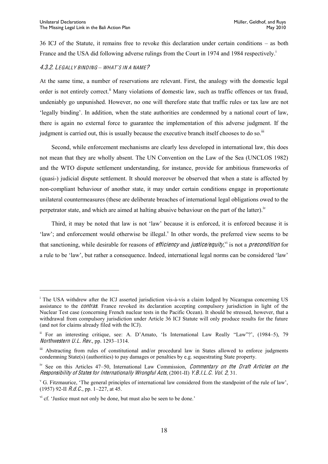$36$  ICJ of the Statute, it remains free to revoke this declaration under certain conditions  $-$  as both France and the USA did following adverse rulings from the Court in 1974 and 1984 respectively.<sup>i</sup>

#### <span id="page-20-0"></span>4.3.2. LEGALLY BINDING *±* WHAT*¶*<sup>S</sup> IN <sup>A</sup> NAME?

At the same time, a number of reservations are relevant. First, the analogy with the domestic legal order is not entirely correct.<sup>ii</sup> Many violations of domestic law, such as traffic offences or tax fraud, undeniably go unpunished. However, no one will therefore state that traffic rules or tax law are not 'legally binding'. In addition, when the state authorities are condemned by a national court of law, there is again no external force to guarantee the implementation of this adverse judgment. If the judgment is carried out, this is usually because the executive branch itself chooses to do so.<sup>iii</sup>

Second, while enforcement mechanisms are clearly less developed in international law, this does not mean that they are wholly absent. The UN Convention on the Law of the Sea (UNCLOS 1982) and the WTO dispute settlement understanding, for instance, provide for ambitious frameworks of (quasi-) judicial dispute settlement. It should moreover be observed that when a state is affected by non-compliant behaviour of another state, it may under certain conditions engage in proportionate unilateral countermeasures (these are deliberate breaches of international legal obligations owed to the perpetrator state, and which are aimed at halting abusive behaviour on the part of the latter).<sup>iv</sup>

Third, it may be noted that law is not 'law' because it is enforced, it is enforced because it is 'law'; and enforcement would otherwise be illegal.<sup>v</sup> In other words, the preferred view seems to be that sanctioning, while desirable for reasons of *efficiency* and *justice/equity*,<sup>vi</sup> is not a *precondition* for a rule to be 'law', but rather a consequence. Indeed, international legal norms can be considered 'law'

<sup>&</sup>lt;sup>i</sup> The USA withdrew after the ICJ asserted jurisdiction vis-à-vis a claim lodged by Nicaragua concerning US assistance to the <sup>c</sup>ontra<sup>s</sup>. France revoked its declaration accepting compulsory jurisdiction in light of the Nuclear Test case (concerning French nuclear tests in the Pacific Ocean). It should be stressed, however, that a withdrawal from compulsory jurisdiction under Article 36 ICJ Statute will only produce results for the future (and not for claims already filed with the ICJ).

 $\mu$ <sup>ii</sup> For an interesting critique, see: A. D'Amato, 'Is International Law Really "Law"?', (1984–5), 79 Northwestern U.L. Rev., pp.  $1293-1314$ .

iii Abstracting from rules of constitutional and/or procedural law in States allowed to enforce judgments condemning State(s) (authorities) to pay damages or penalties by e.g. sequestrating State property.

 $\mu$ <sup>iv</sup> See on this Articles 47–50, International Law Commission, *Commentary on the Draft Articles on the* Responsibility <sup>o</sup>f State<sup>s</sup> for Internationally Wrongful Acts, (2001-II) Y.B.I.L.C. Vol. 2, 31.

<sup>&</sup>lt;sup>v</sup> G. Fitzmaurice, 'The general principles of international law considered from the standpoint of the rule of law', (1957) 92-II  $R.d.C.,$  pp. 1–227, at 45.

 $\gamma$ <sup>i</sup> cf. 'Justice must not only be done, but must also be seen to be done.'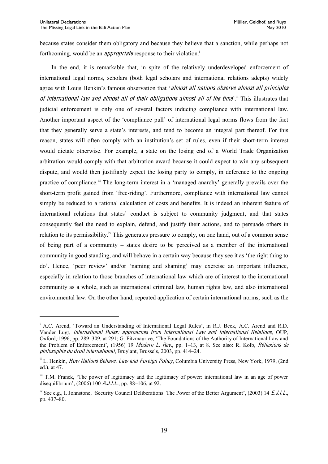because states consider them obligatory and because they believe that a sanction, while perhaps not forthcoming, would be an *appropriate* response to their violation.<sup>i</sup>

In the end, it is remarkable that, in spite of the relatively underdeveloped enforcement of international legal norms, scholars (both legal scholars and international relations adepts) widely agree with Louis Henkin's famous observation that 'almost all nations observe almost all principles of international law and almost all of their obligations almost all of the time<sup>, ii</sup> This illustrates that judicial enforcement is only one of several factors inducing compliance with international law. Another important aspect of the 'compliance pull' of international legal norms flows from the fact that they generally serve a state's interests, and tend to become an integral part thereof. For this reason, states will often comply with an institution's set of rules, even if their short-term interest would dictate otherwise. For example, a state on the losing end of a World Trade Organization arbitration would comply with that arbitration award because it could expect to win any subsequent dispute, and would then justifiably expect the losing party to comply, in deference to the ongoing practice of compliance.<sup>iii</sup> The long-term interest in a 'managed anarchy' generally prevails over the short-term profit gained from 'free-riding'. Furthermore, compliance with international law cannot simply be reduced to a rational calculation of costs and benefits. It is indeed an inherent feature of international relations that states' conduct is subject to community judgment, and that states consequently feel the need to explain, defend, and justify their actions, and to persuade others in relation to its permissibility.<sup>iv</sup> This generates pressure to comply, on one hand, out of a common sense of being part of a community - states desire to be perceived as a member of the international community in good standing, and will behave in a certain way because they see it as 'the right thing to do'. Hence, 'peer review' and/or 'naming and shaming' may exercise an important influence, especially in relation to those branches of international law which are of interest to the international community as a whole, such as international criminal law, human rights law, and also international environmental law. On the other hand, repeated application of certain international norms, such as the

<sup>&</sup>lt;sup>i</sup> A.C. Arend, 'Toward an Understanding of International Legal Rules', in R.J. Beck, A.C. Arend and R.D. Vander Lugt, International Rules: approache<sup>s</sup> fro<sup>m</sup> International Law and International Relations, OUP, Oxford,:1996, pp. 289-309, at 291; G. Fitzmaurice, 'The Foundations of the Authority of International Law and the Problem of Enforcement', (1956) 19 Modern L. Rev., pp. 1-13, at 8. See also: R. Kolb, Réflexions de philosophie du droit international, Bruylant, Brussels, 2003, pp. 414-24.

ii L. Henkin, How Nations Behave. Law and Foreign Policy, Columbia University Press, New York, 1979, (2nd ed.), at 47.

iii T.M. Franck, 'The power of legitimacy and the legitimacy of power: international law in an age of power disequilibrium',  $(2006)$  100 *A.J.I.L.*, pp. 88–106, at 92.

<sup>&</sup>lt;sup>iv</sup> See e.g., I. Johnstone, 'Security Council Deliberations: The Power of the Better Argument', (2003) 14 *E.J.I.L.*, pp. 437-80.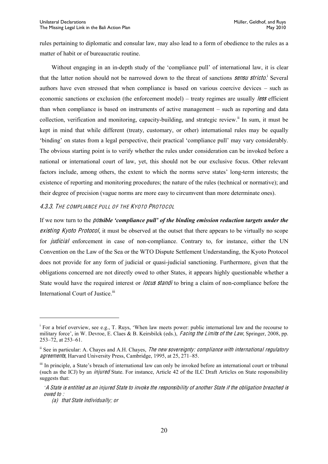rules pertaining to diplomatic and consular law, may also lead to a form of obedience to the rules as a matter of habit or of bureaucratic routine.

Without engaging in an in-depth study of the 'compliance pull' of international law, it is clear that the latter notion should not be narrowed down to the threat of sanctions **sensu stricto**.<sup>i</sup> Several authors have even stressed that when compliance is based on various coercive devices – such as economic sanctions or exclusion (the enforcement model) – treaty regimes are usually *less* efficient than when compliance is based on instruments of active management  $-$  such as reporting and data collection, verification and monitoring, capacity-building, and strategic review.ii In sum, it must be kept in mind that while different (treaty, customary, or other) international rules may be equally "binding" on states from a legal perspective, their practical "compliance pull" may vary considerably. The obvious starting point is to verify whether the rules under consideration can be invoked before a national or international court of law, yet, this should not be our exclusive focus. Other relevant factors include, among others, the extent to which the norms serve states' long-term interests; the existence of reporting and monitoring procedures; the nature of the rules (technical or normative); and their degree of precision (vague norms are more easy to circumvent than more determinate ones).

#### <span id="page-22-0"></span>4.3.3. THE COMPLIANCE PULL OF THE KYOTO PROTOCOL

If we now turn to the *possible 'compliance pull' of the binding emission reduction targets under the* existing Kyoto Protocol, it must be observed at the outset that there appears to be virtually no scope for *judicial* enforcement in case of non-compliance. Contrary to, for instance, either the UN Convention on the Law of the Sea or the WTO Dispute Settlement Understanding, the Kyoto Protocol does not provide for any form of judicial or quasi-judicial sanctioning. Furthermore, given that the obligations concerned are not directly owed to other States, it appears highly questionable whether a State would have the required interest or *locus standi* to bring a claim of non-compliance before the International Court of Justice.<sup>iii</sup>

 $\overline{a}$ 

<sup>&</sup>lt;sup>1</sup> For a brief overview, see e.g., T. Ruys, 'When law meets power: public international law and the recourse to military force', in W. Devroe, E. Claes & B. Keirsbilck (eds.), *Facing the Limits of the Law*, Springer, 2008, pp.  $253 - 72$ , at  $253 - 61$ .

 $\mu$  See in particular: A. Chayes and A.H. Chayes, The new sovereignty: compliance with international regulatory agreements, Harvard University Press, Cambridge, 1995, at 25, 271-85.

<sup>&</sup>lt;sup>iii</sup> In principle, a State's breach of international law can only be invoked before an international court or tribunal (such as the ICJ) by an injured State. For instance, Article 42 of the ILC Draft Articles on State responsibility suggests that:

*µ*A Stat<sup>e</sup> i<sup>s</sup> <sup>e</sup>ntitled <sup>a</sup><sup>s</sup> an injured Stat<sup>e</sup> <sup>t</sup><sup>o</sup> invoke <sup>t</sup>h<sup>e</sup> <sup>r</sup>esponsibility <sup>o</sup>f anothe<sup>r</sup> Stat<sup>e</sup> if <sup>t</sup>h<sup>e</sup> obligation breached i<sup>s</sup> owed to :

<sup>(</sup>a) that Stat<sup>e</sup> individually; or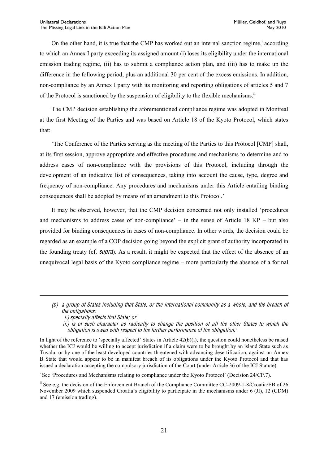On the other hand, it is true that the CMP has worked out an internal sanction regime,  $\alpha$  according to which an Annex I party exceeding its assigned amount (i) loses its eligibility under the international emission trading regime, (ii) has to submit a compliance action plan, and (iii) has to make up the difference in the following period, plus an additional 30 per cent of the excess emissions. In addition, non-compliance by an Annex I party with its monitoring and reporting obligations of articles 5 and 7 of the Protocol is sanctioned by the suspension of eligibility to the flexible mechanisms.<sup>ii</sup>

The CMP decision establishing the aforementioned compliance regime was adopted in Montreal at the first Meeting of the Parties and was based on Article 18 of the Kyoto Protocol, which states that:

The Conference of the Parties serving as the meeting of the Parties to this Protocol [CMP] shall, at its first session, approve appropriate and effective procedures and mechanisms to determine and to address cases of non-compliance with the provisions of this Protocol, including through the development of an indicative list of consequences, taking into account the cause, type, degree and frequency of non-compliance. Any procedures and mechanisms under this Article entailing binding consequences shall be adopted by means of an amendment to this Protocol.'

It may be observed, however, that the CMP decision concerned not only installed 'procedures and mechanisms to address cases of non-compliance'  $-$  in the sense of Article 18 KP  $-$  but also provided for binding consequences in cases of non-compliance. In other words, the decision could be regarded as an example of a COP decision going beyond the explicit grant of authority incorporated in the founding treaty (cf. <sup>s</sup>upra). As a result, it might be expected that the effect of the absence of an unequivocal legal basis of the Kyoto compliance regime  $-$  more particularly the absence of a formal

 $\overline{a}$ 

<sup>i</sup> See 'Procedures and Mechanisms relating to compliance under the Kyoto Protocol' (Decision 24/CP.7).

<sup>(</sup>b) <sup>a</sup> group <sup>o</sup>f State<sup>s</sup> including that State, or th<sup>e</sup> international <sup>c</sup>ommunity <sup>a</sup><sup>s</sup> <sup>a</sup> whole, and th<sup>e</sup> breach <sup>o</sup>f th<sup>e</sup> obligations:

i.) <sup>s</sup>pecially <sup>a</sup>ffects that State; or

ii.) i<sup>s</sup> <sup>o</sup>f <sup>s</sup>uch <sup>c</sup>haracte<sup>r</sup> <sup>a</sup><sup>s</sup> radically t<sup>o</sup> <sup>c</sup>hang<sup>e</sup> th<sup>e</sup> position <sup>o</sup>f all th<sup>e</sup> <sup>o</sup>the<sup>r</sup> State<sup>s</sup> t<sup>o</sup> which th<sup>e</sup> obligation i<sup>s</sup> owed with <sup>r</sup>espec<sup>t</sup> <sup>t</sup><sup>o</sup> <sup>t</sup>h<sup>e</sup> furthe<sup>r</sup> performance <sup>o</sup>f <sup>t</sup>h<sup>e</sup> obligation.*¶*

In light of the reference to 'specially affected' States in Article  $42(b)(i)$ , the question could nonetheless be raised whether the ICJ would be willing to accept jurisdiction if a claim were to be brought by an island State such as Tuvalu, or by one of the least developed countries threatened with advancing desertification, against an Annex B State that would appear to be in manifest breach of its obligations under the Kyoto Protocol and that has issued a declaration accepting the compulsory jurisdiction of the Court (under Article 36 of the ICJ Statute).

ii See e.g. the decision of the Enforcement Branch of the Compliance Committee CC-2009-1-8/Croatia/EB of 26 November 2009 which suspended Croatia's eligibility to participate in the mechanisms under 6 (JI), 12 (CDM) and 17 (emission trading).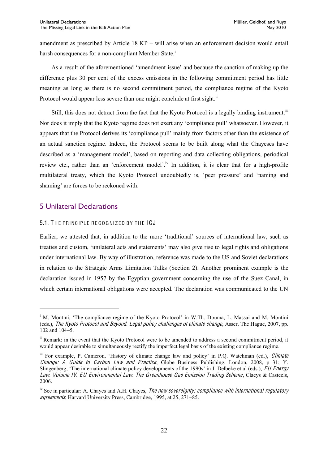amendment as prescribed by Article  $18$  KP  $-$  will arise when an enforcement decision would entail harsh consequences for a non-compliant Member State.<sup>i</sup>

As a result of the aforementioned 'amendment issue' and because the sanction of making up the difference plus 30 per cent of the excess emissions in the following commitment period has little meaning as long as there is no second commitment period, the compliance regime of the Kyoto Protocol would appear less severe than one might conclude at first sight.<sup>11</sup>

Still, this does not detract from the fact that the Kyoto Protocol is a legally binding instrument.<sup>iii</sup> Nor does it imply that the Kyoto regime does not exert any 'compliance pull' whatsoever. However, it appears that the Protocol derives its 'compliance pull' mainly from factors other than the existence of an actual sanction regime. Indeed, the Protocol seems to be built along what the Chayeses have described as a 'management model', based on reporting and data collecting obligations, periodical review etc., rather than an 'enforcement model'.<sup>iv</sup> In addition, it is clear that for a high-profile multilateral treaty, which the Kyoto Protocol undoubtedly is, 'peer pressure' and 'naming and shaming' are forces to be reckoned with.

#### <span id="page-24-0"></span>5 Unilateral Declarations

 $\overline{a}$ 

#### <span id="page-24-1"></span>5.1. THE PRINCIPLE RECOGNIZED BY THE ICJ

Earlier, we attested that, in addition to the more 'traditional' sources of international law, such as treaties and custom, 'unilateral acts and statements' may also give rise to legal rights and obligations under international law. By way of illustration, reference was made to the US and Soviet declarations in relation to the Strategic Arms Limitation Talks (Section 2). Another prominent example is the declaration issued in 1957 by the Egyptian government concerning the use of the Suez Canal, in which certain international obligations were accepted. The declaration was communicated to the UN

<sup>&</sup>lt;sup>i</sup> M. Montini, 'The compliance regime of the Kyoto Protocol' in W.Th. Douma, L. Massai and M. Montini (eds.), Th<sup>e</sup> Kyot<sup>o</sup> Protocol and Beyond. Legal poli<sup>c</sup>y <sup>c</sup>hallenge<sup>s</sup> <sup>o</sup>f <sup>c</sup>limat<sup>e</sup> <sup>c</sup>hange, Asser, The Hague, 2007, pp. 102 and 104-5.

ii Remark: in the event that the Kyoto Protocol were to be amended to address a second commitment period, it would appear desirable to simultaneously rectify the imperfect legal basis of the existing compliance regime.

iii For example, P. Cameron, 'History of climate change law and policy' in P.Q. Watchman (ed.), Climate Change: A Guide to Carbon Law and Practice, Globe Business Publishing, London, 2008, p 31; Y. Slingenberg, 'The international climate policy developments of the 1990s' in J. Delbeke et al (eds.), EU Energy Law. Volume IV. EU Environmental Law. The Greenhouse Gas Emission Trading Scheme, Claeys & Casteels, 2006.

<sup>&</sup>lt;sup>iv</sup> See in particular: A. Chayes and A.H. Chayes, *The new sovereignty: compliance with international regulatory* agreements, Harvard University Press, Cambridge, 1995, at 25, 271–85.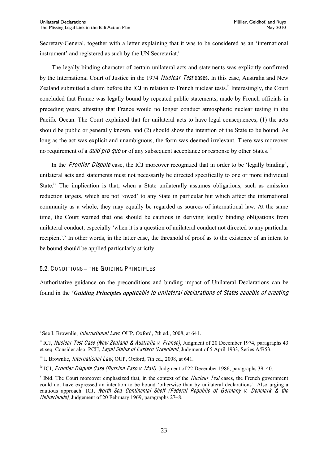Secretary-General, together with a letter explaining that it was to be considered as an 'international instrument' and registered as such by the UN Secretariat.<sup>1</sup>

The legally binding character of certain unilateral acts and statements was explicitly confirmed by the International Court of Justice in the 1974 Nuclear Test cases. In this case, Australia and New Zealand submitted a claim before the ICJ in relation to French nuclear tests.<sup>ii</sup> Interestingly, the Court concluded that France was legally bound by repeated public statements, made by French officials in preceding years, attesting that France would no longer conduct atmospheric nuclear testing in the Pacific Ocean. The Court explained that for unilateral acts to have legal consequences, (1) the acts should be public or generally known, and (2) should show the intention of the State to be bound. As long as the act was explicit and unambiguous, the form was deemed irrelevant. There was moreover no requirement of a *quid pro quo* or of any subsequent acceptance or response by other States.<sup>iii</sup>

In the Frontier Dispute case, the ICJ moreover recognized that in order to be 'legally binding', unilateral acts and statements must not necessarily be directed specifically to one or more individual State.<sup>iv</sup> The implication is that, when a State unilaterally assumes obligations, such as emission reduction targets, which are not 'owed' to any State in particular but which affect the international community as a whole, they may equally be regarded as sources of international law. At the same time, the Court warned that one should be cautious in deriving legally binding obligations from unilateral conduct, especially 'when it is a question of unilateral conduct not directed to any particular recipient'.<sup>v</sup> In other words, in the latter case, the threshold of proof as to the existence of an intent to be bound should be applied particularly strictly.

#### <span id="page-25-0"></span>5.2. CONDITIONS - THE GUIDING PRINCIPLES

 $\overline{a}$ 

Authoritative guidance on the preconditions and binding impact of Unilateral Declarations can be found in the *'Guiding Principles applicable to unilateral declarations of States capable of creating* 

<sup>&</sup>lt;sup>i</sup> See I. Brownlie, *International Law*, OUP, Oxford, 7th ed., 2008, at 641.

ii ICJ, Nuclear Test Case (New Zealand & Australia v. France), Judgment of 20 December 1974, paragraphs 43 et seq. Consider also: PCIJ, Legal Statu<sup>s</sup> <sup>o</sup>f Eastern Greenland, Judgment of 5 April 1933, Series A/B53.

 $\frac{\text{iii}}{\text{ii}}$  I. Brownlie, *International Law*, OUP, Oxford, 7th ed., 2008, at 641.

<sup>&</sup>lt;sup>iv</sup> ICJ, *Frontier Dispute Case (Burkina Faso v. Mali)*, Judgment of 22 December 1986, paragraphs 39–40.

<sup>&</sup>lt;sup>v</sup> Ibid. The Court moreover emphasized that, in the context of the *Nuclear Test* cases, the French government could not have expressed an intention to be bound 'otherwise than by unilateral declarations'. Also urging a cautious approach: ICJ, North Se<sup>a</sup> Continental Shelf (Federal Republi<sup>c</sup> <sup>o</sup>f Germany <sup>v</sup>. Denmark & <sup>t</sup>h<sup>e</sup> Netherlands), Judgement of 20 February 1969, paragraphs 27–8.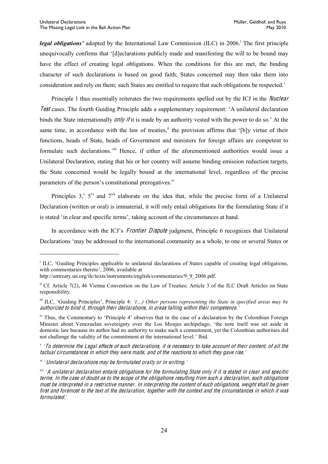*Legal obligations'* adopted by the International Law Commission (ILC) in 2006.<sup>†</sup> The first principle unequivocally confirms that '[d]eclarations publicly made and manifesting the will to be bound may have the effect of creating legal obligations. When the conditions for this are met, the binding character of such declarations is based on good faith; States concerned may then take them into consideration and rely on them; such States are entitled to require that such obligations be respected.'

Principle 1 thus essentially reiterates the two requirements spelled out by the ICJ in the *Nuclear* Test cases. The fourth Guiding Principle adds a supplementary requirement: 'A unilateral declaration binds the State internationally *only if* it is made by an authority vested with the power to do so.' At the same time, in accordance with the law of treaties,<sup>ii</sup> the provision affirms that '[b] $\gamma$  virtue of their functions, heads of State, heads of Government and ministers for foreign affairs are competent to formulate such declarations.<sup>iii</sup> Hence, if either of the aforementioned authorities would issue a Unilateral Declaration, stating that his or her country will assume binding emission reduction targets, the State concerned would be legally bound at the international level, regardless of the precise parameters of the person's constitutional prerogatives.<sup>iv</sup>

Principles  $3$ ,  $5$ <sup>vi</sup> and  $7$ <sup>vii</sup> elaborate on the idea that, while the precise form of a Unilateral Declaration (written or oral) is immaterial, it will only entail obligations for the formulating State if it is stated 'in clear and specific terms', taking account of the circumstances at hand.

In accordance with the ICJ's *Frontier Dispute* judgment, Principle 6 recognizes that Unilateral Declarations 'may be addressed to the international community as a whole, to one or several States or

<sup>&</sup>lt;sup>i</sup> ILC, 'Guiding Principles applicable to unilateral declarations of States capable of creating legal obligations, with commentaries thereto', 2006, available at

http://untreaty.un.org/ilc/texts/instruments/english/commentaries/9\_9\_2006.pdf.

ii Cf. Article 7(2), 46 Vienna Convention on the Law of Treaties; Article 3 of the ILC Draft Articles on State responsibility.

iii ILC, 'Guiding Principles', Principle 4: '(...) Other persons representing the State in specified areas may be authorized <sup>t</sup><sup>o</sup> bind it, <sup>t</sup>hrough <sup>t</sup>heir declarations, in area<sup>s</sup> falling within <sup>t</sup>heir <sup>c</sup>ompetence.*¶*

iv Thus, the Commentary to 'Principle 4' observes that in the case of a declaration by the Colombian Foreign Minister about Venezuelan sovereignty over the Los Monjes archipelago, 'the note itself was set aside in domestic law because its author had no authority to make such a commitment, yet the Colombian authorities did not challenge the validity of the commitment at the international level.' Ibid.

v *'To determine the Legal effects of such declarations, it is necessary to take account of their content, of all the* factual <sup>c</sup>ircumstance<sup>s</sup> in which <sup>t</sup>hey <sup>w</sup>er<sup>e</sup> <sup>m</sup>ade, and <sup>o</sup>f <sup>t</sup>h<sup>e</sup> <sup>r</sup>eaction<sup>s</sup> <sup>t</sup><sup>o</sup> which <sup>t</sup>hey gav<sup>e</sup> rise.*¶*

<sup>&</sup>lt;sup>vi</sup> *'Unilateral declarations may be formulated orally or in writing.'* 

vii *µ*<sup>A</sup> unilateral <sup>d</sup>eclaration <sup>e</sup>ntail<sup>s</sup> obligation<sup>s</sup> <sup>f</sup>or <sup>t</sup>h<sup>e</sup> <sup>f</sup>ormulating <sup>S</sup>tat<sup>e</sup> only <sup>i</sup><sup>f</sup> <sup>i</sup><sup>t</sup> <sup>i</sup><sup>s</sup> state<sup>d</sup> in <sup>c</sup>lear and <sup>s</sup>pecifi<sup>c</sup> terms. In th<sup>e</sup> <sup>c</sup>as<sup>e</sup> <sup>o</sup>f doubt <sup>a</sup><sup>s</sup> t<sup>o</sup> th<sup>e</sup> <sup>s</sup>cop<sup>e</sup> <sup>o</sup>f th<sup>e</sup> obligation<sup>s</sup> <sup>r</sup>esulting fro<sup>m</sup> <sup>s</sup>uch <sup>a</sup> declaration, <sup>s</sup>uch obligation<sup>s</sup> <sup>m</sup>ust b<sup>e</sup> interpreted in <sup>a</sup> <sup>r</sup>estrictiv<sup>e</sup> <sup>m</sup>anner. In interpreting th<sup>e</sup> <sup>c</sup>ontent <sup>o</sup>f <sup>s</sup>uch obligations, <sup>w</sup><sup>e</sup>ight <sup>s</sup>hall b<sup>e</sup> giv<sup>e</sup><sup>n</sup> first and foremost t<sup>o</sup> th<sup>e</sup> text <sup>o</sup>f th<sup>e</sup> declaration, togethe<sup>r</sup> with th<sup>e</sup> <sup>c</sup>ontext and th<sup>e</sup> <sup>c</sup>ircumstance<sup>s</sup> in which it wa<sup>s</sup> formulated.*¶*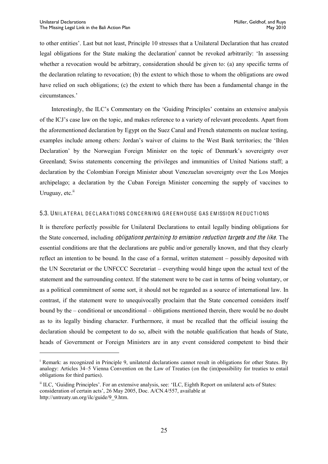to other entities'. Last but not least, Principle 10 stresses that a Unilateral Declaration that has created legal obligations for the State making the declaration<sup>i</sup> cannot be revoked arbitrarily: 'In assessing whether a revocation would be arbitrary, consideration should be given to: (a) any specific terms of the declaration relating to revocation; (b) the extent to which those to whom the obligations are owed have relied on such obligations; (c) the extent to which there has been a fundamental change in the circumstances.'

Interestingly, the ILC's Commentary on the 'Guiding Principles' contains an extensive analysis of the ICJ's case law on the topic, and makes reference to a variety of relevant precedents. Apart from the aforementioned declaration by Egypt on the Suez Canal and French statements on nuclear testing, examples include among others: Jordan's waiver of claims to the West Bank territories; the 'Ihlen Declaration' by the Norwegian Foreign Minister on the topic of Denmark's sovereignty over Greenland; Swiss statements concerning the privileges and immunities of United Nations staff; a declaration by the Colombian Foreign Minister about Venezuelan sovereignty over the Los Monjes archipelago; a declaration by the Cuban Foreign Minister concerning the supply of vaccines to Uruguay,  $etc.<sup>ii</sup>$ 

#### <span id="page-27-0"></span>5.3. UNILATERAL DECLARATIONS CONCERNING GREENHOUSE GAS EMISSION REDUCTIONS

It is therefore perfectly possible for Unilateral Declarations to entail legally binding obligations for the State concerned, including *obligations pertaining to emission reduction targets and the like*. The essential conditions are that the declarations are public and/or generally known, and that they clearly reflect an intention to be bound. In the case of a formal, written statement – possibly deposited with the UN Secretariat or the UNFCCC Secretariat – everything would hinge upon the actual text of the statement and the surrounding context. If the statement were to be cast in terms of being voluntary, or as a political commitment of some sort, it should not be regarded as a source of international law. In contrast, if the statement were to unequivocally proclaim that the State concerned considers itself bound by the  $-$  conditional or unconditional  $-$  obligations mentioned therein, there would be no doubt as to its legally binding character. Furthermore, it must be recalled that the official issuing the declaration should be competent to do so, albeit with the notable qualification that heads of State, heads of Government or Foreign Ministers are in any event considered competent to bind their

<sup>&</sup>lt;sup>i</sup> Remark: as recognized in Principle 9, unilateral declarations cannot result in obligations for other States. By analogy: Articles 34-5 Vienna Convention on the Law of Treaties (on the (im)possibility for treaties to entail obligations for third parties).

<sup>&</sup>lt;sup>ii</sup> ILC, 'Guiding Principles'. For an extensive analysis, see: 'ILC, Eighth Report on unilateral acts of States: consideration of certain acts', 26 May 2005, Doc. A/CN.4/557, available at http://untreaty.un.org/ilc/guide/9\_9.htm.